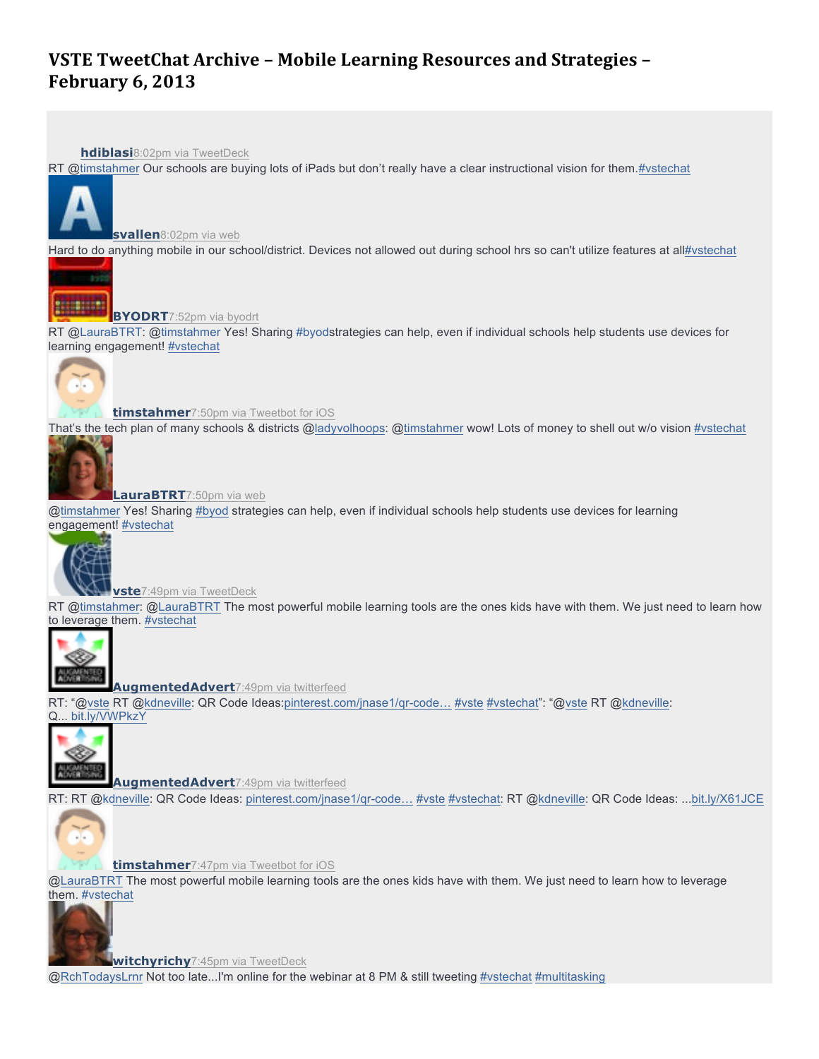# **VSTE TweetChat Archive - Mobile Learning Resources and Strategies -February 6, 2013**

**hdiblasi**8:02pm via TweetDeck

RT @timstahmer Our schools are buying lots of iPads but don't really have a clear instructional vision for them.#vstechat



**svallen**8:02pm via web

Hard to do anything mobile in our school/district. Devices not allowed out during school hrs so can't utilize features at all#vstechat



**BYODRT**7:52pm via byodrt

RT @LauraBTRT: @timstahmer Yes! Sharing #byodstrategies can help, even if individual schools help students use devices for learning engagement! #vstechat



**timstahmer**7:50pm via Tweetbot for iOS

That's the tech plan of many schools & districts @ladyvolhoops: @timstahmer wow! Lots of money to shell out w/o vision #vstechat



**LauraBTRT**7:50pm via web

@timstahmer Yes! Sharing #byod strategies can help, even if individual schools help students use devices for learning engagement! #vstechat



**vste**7:49pm via TweetDeck

RT @timstahmer: @LauraBTRT The most powerful mobile learning tools are the ones kids have with them. We just need to learn how to leverage them. #vstechat



**AugmentedAdvert**7:49pm via twitterfeed

RT: "@vste RT @kdneville: QR Code Ideas:pinterest.com/jnase1/qr-code… #vste #vstechat": "@vste RT @kdneville: Q... bit.ly/VWPkzY



**AugmentedAdvert**7:49pm via twitterfeed

RT: RT @kdneville: QR Code Ideas: pinterest.com/jnase1/qr-code… #vste #vstechat: RT @kdneville: QR Code Ideas: ...bit.ly/X61JCE



**timstahmer**7:47pm via Tweetbot for iOS

@LauraBTRT The most powerful mobile learning tools are the ones kids have with them. We just need to learn how to leverage them. #vstechat



**witchyrichy**7:45pm via TweetDeck

@RchTodaysLrnr Not too late...I'm online for the webinar at 8 PM & still tweeting #vstechat #multitasking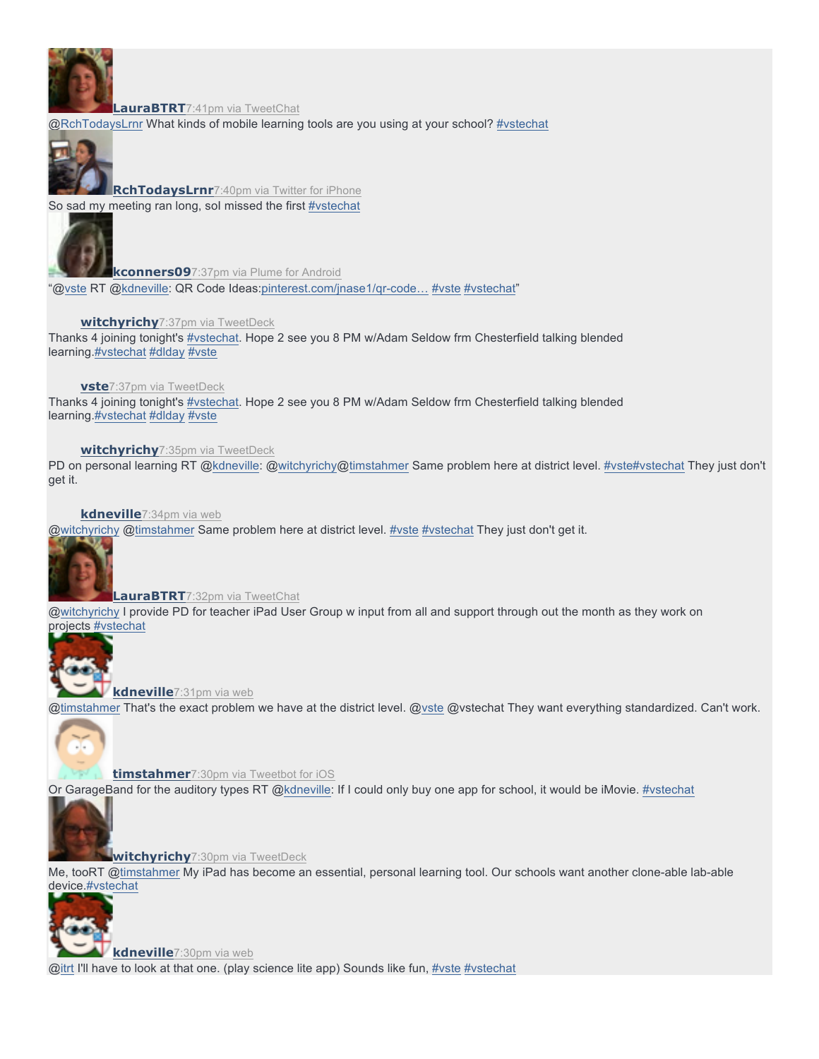

**LauraBTRT**7:41pm via TweetChat

@RchTodaysLrnr What kinds of mobile learning tools are you using at your school? #vstechat



**RchTodaysLrnr**7:40pm via Twitter for iPhone So sad my meeting ran long, sol missed the first #vstechat



**kconners09**7:37pm via Plume for Android "@vste RT @kdneville: QR Code Ideas:pinterest.com/jnase1/qr-code… #vste #vstechat"

# **witchyrichy**7:37pm via TweetDeck

Thanks 4 joining tonight's #vstechat. Hope 2 see you 8 PM w/Adam Seldow frm Chesterfield talking blended learning.#vstechat #dlday #vste

**vste**7:37pm via TweetDeck

Thanks 4 joining tonight's #vstechat. Hope 2 see you 8 PM w/Adam Seldow frm Chesterfield talking blended learning.#vstechat #dlday #vste

## **witchyrichy**7:35pm via TweetDeck

PD on personal learning RT @kdneville: @witchyrichy@timstahmer Same problem here at district level. #vste#vstechat They just don't get it.

**kdneville**7:34pm via web

@witchyrichy @timstahmer Same problem here at district level. #vste #vstechat They just don't get it.



**LauraBTRT**7:32pm via TweetChat

@witchyrichy I provide PD for teacher iPad User Group w input from all and support through out the month as they work on projects #vstechat



**kdneville**7:31pm via web @timstahmer That's the exact problem we have at the district level. @vste @vstechat They want everything standardized. Can't work.



**timstahmer**7:30pm via Tweetbot for iOS

Or GarageBand for the auditory types RT @kdneville: If I could only buy one app for school, it would be iMovie. #vstechat



**witchyrichy**7:30pm via TweetDeck

Me, tooRT @timstahmer My iPad has become an essential, personal learning tool. Our schools want another clone-able lab-able device.#vstechat



**kdneville**7:30pm via web

@itrt I'll have to look at that one. (play science lite app) Sounds like fun, #vste #vstechat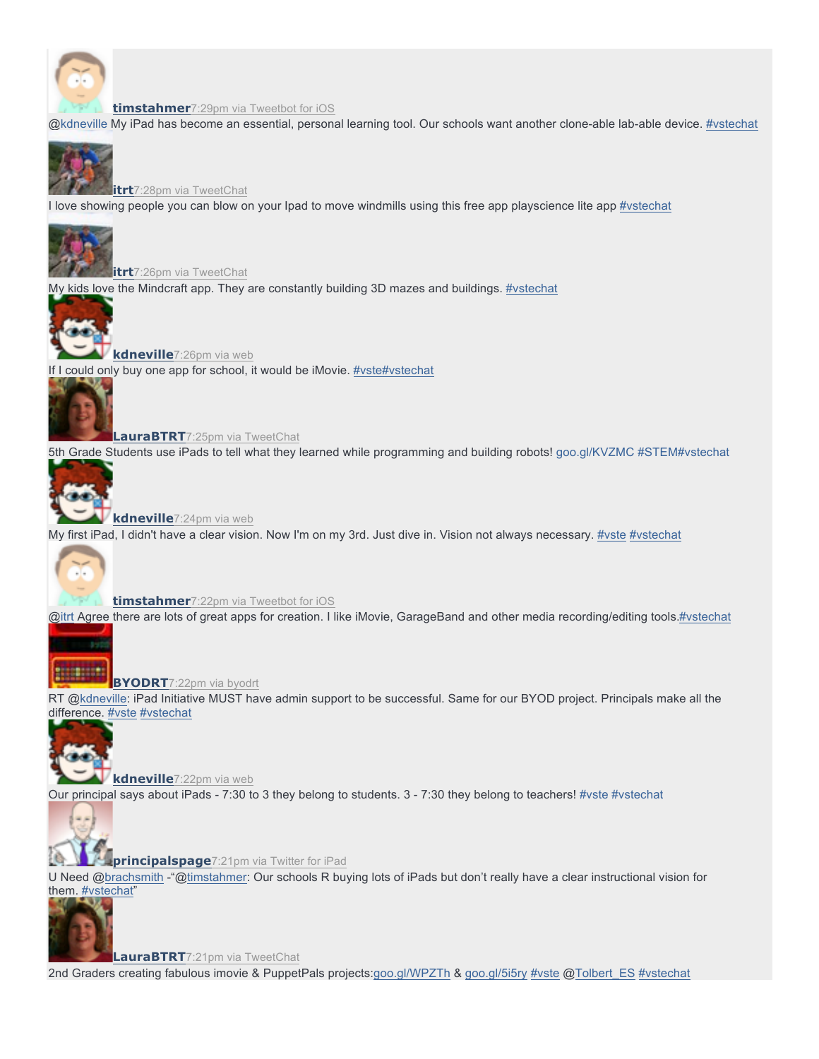

#### **timstahmer**7:29pm via Tweetbot for iOS

@kdneville My iPad has become an essential, personal learning tool. Our schools want another clone-able lab-able device. #vstechat



**itrt**7:28pm via TweetChat

I love showing people you can blow on your Ipad to move windmills using this free app playscience lite app #vstechat



**itrt**7:26pm via TweetChat

My kids love the Mindcraft app. They are constantly building 3D mazes and buildings. #vstechat



**kdneville**7:26pm via web If I could only buy one app for school, it would be iMovie. #vste#vstechat



**LauraBTRT**7:25pm via TweetChat

5th Grade Students use iPads to tell what they learned while programming and building robots! goo.gl/KVZMC #STEM#vstechat



**kdneville**7:24pm via web My first iPad, I didn't have a clear vision. Now I'm on my 3rd. Just dive in. Vision not always necessary. #vste #vstechat



**timstahmer**7:22pm via Tweetbot for iOS

@itrt Agree there are lots of great apps for creation. I like iMovie, GarageBand and other media recording/editing tools.#vstechat



**BYODRT**7:22pm via byodrt

RT @kdneville: iPad Initiative MUST have admin support to be successful. Same for our BYOD project. Principals make all the difference. **#vste** #vstechat



**kdneville**7:22pm via web Our principal says about iPads - 7:30 to 3 they belong to students. 3 - 7:30 they belong to teachers! #vste #vstechat



**principalspage**7:21pm via Twitter for iPad

U Need @brachsmith -"@timstahmer: Our schools R buying lots of iPads but don't really have a clear instructional vision for them. #vstechat"



**LauraBTRT**7:21pm via TweetChat

2nd Graders creating fabulous imovie & PuppetPals projects:goo.gl/WPZTh & goo.gl/5i5ry #vste @Tolbert\_ES #vstechat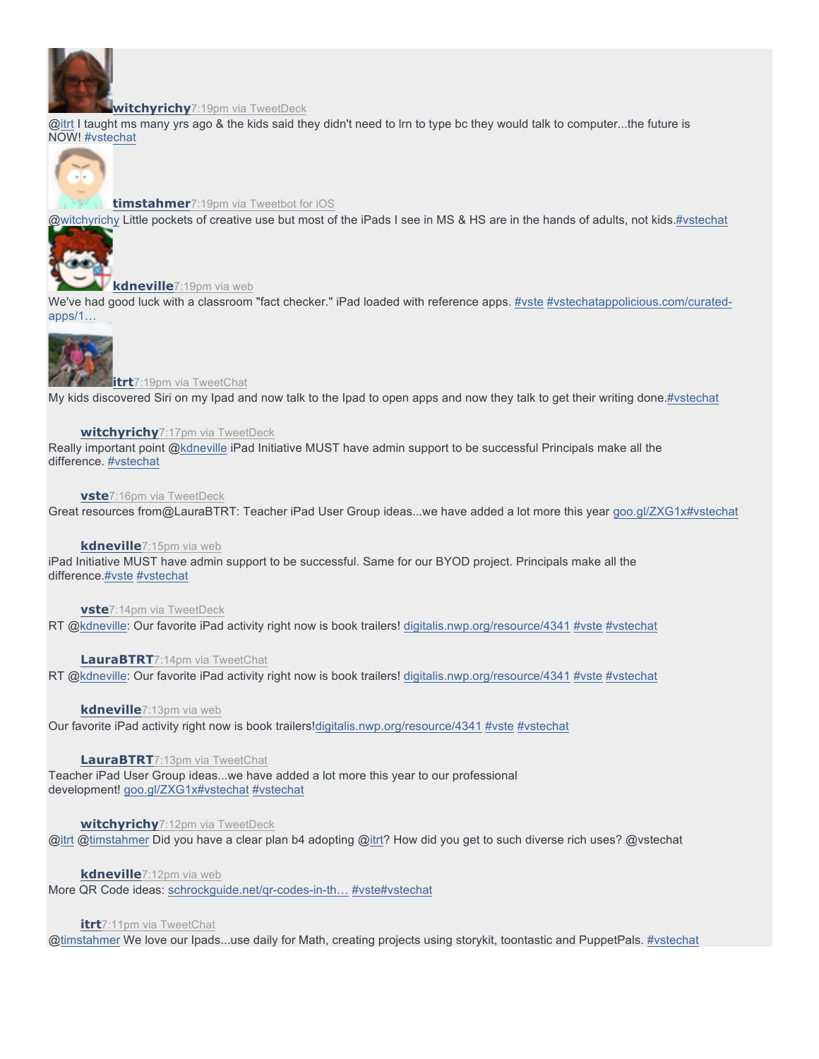

#### **witchyrichy**7:19pm via TweetDeck

@itrt I taught ms many yrs ago & the kids said they didn't need to Irn to type bc they would talk to computer...the future is NOW! #vstechat



# **timstahmer**7:19pm via Tweetbot for iOS

@witchyrichy Little pockets of creative use but most of the iPads I see in MS & HS are in the hands of adults, not kids.#vstechat



**kdneville**7:19pm via web

We've had good luck with a classroom "fact checker." iPad loaded with reference apps. #vste #vstechatappolicious.com/curatedapps/1…



**itrt**7:19pm via TweetChat

My kids discovered Siri on my Ipad and now talk to the Ipad to open apps and now they talk to get their writing done.#vstechat

#### **witchyrichy**7:17pm via TweetDeck

Really important point @kdneville iPad Initiative MUST have admin support to be successful Principals make all the difference. #vstechat

#### **vste**7:16pm via TweetDeck

Great resources from@LauraBTRT: Teacher iPad User Group ideas...we have added a lot more this year goo.gl/ZXG1x#vstechat

#### **kdneville**7:15pm via web

iPad Initiative MUST have admin support to be successful. Same for our BYOD project. Principals make all the difference.#vste #vstechat

#### **vste**7:14pm via TweetDeck

RT @kdneville: Our favorite iPad activity right now is book trailers! digitalis.nwp.org/resource/4341 #vste #vstechat

## **LauraBTRT**7:14pm via TweetChat

RT @kdneville: Our favorite iPad activity right now is book trailers! digitalis.nwp.org/resource/4341 #vste #vstechat

#### **kdneville**7:13pm via web

Our favorite iPad activity right now is book trailers!digitalis.nwp.org/resource/4341 #vste #vstechat

#### **LauraBTRT**7:13pm via TweetChat

Teacher iPad User Group ideas...we have added a lot more this year to our professional development! goo.gl/ZXG1x#vstechat #vstechat

#### **witchyrichy**7:12pm via TweetDeck

@itrt @timstahmer Did you have a clear plan b4 adopting @itrt? How did you get to such diverse rich uses? @vstechat

#### **kdneville**7:12pm via web

More QR Code ideas: schrockguide.net/qr-codes-in-th… #vste#vstechat

#### **itrt**7:11pm via TweetChat

@timstahmer We love our Ipads...use daily for Math, creating projects using storykit, toontastic and PuppetPals. #vstechat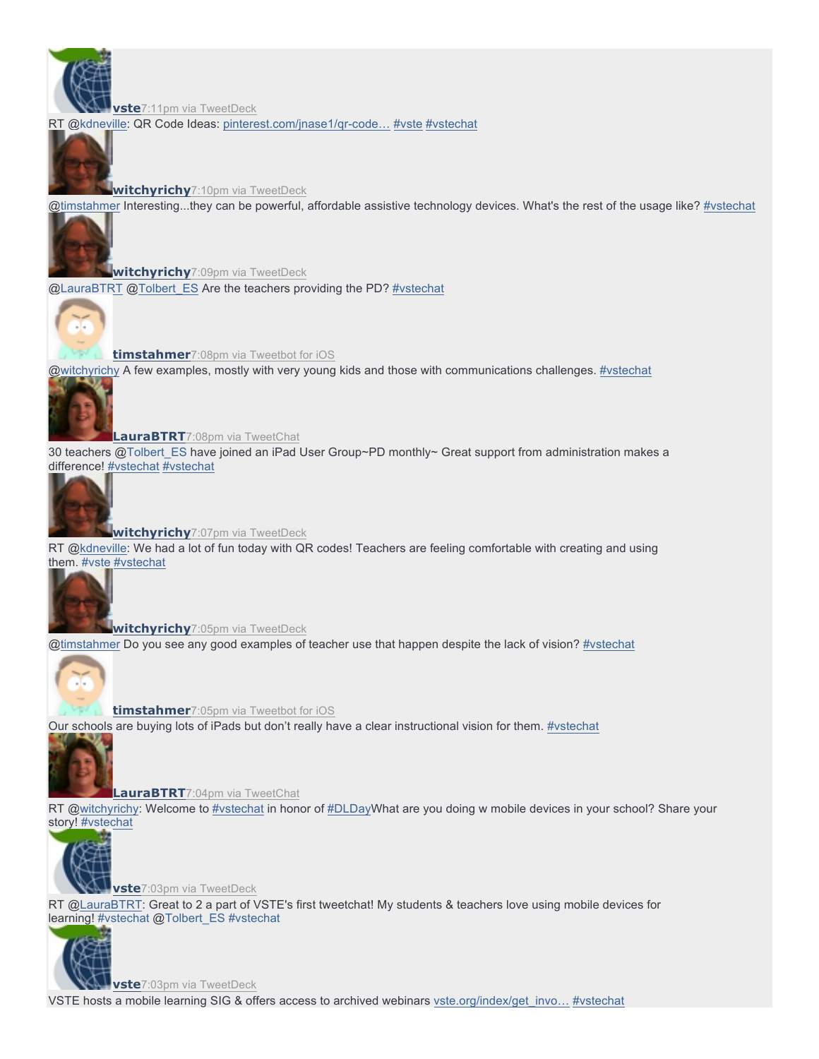**vste**7:11pm via TweetDeck

RT @kdneville: QR Code Ideas: pinterest.com/jnase1/qr-code... #vste #vstechat

**witchyrichy**7:10pm via TweetDeck

@timstahmer Interesting...they can be powerful, affordable assistive technology devices. What's the rest of the usage like? #vstechat



**witchyrichy**7:09pm via TweetDeck @LauraBTRT @Tolbert\_ES Are the teachers providing the PD? #vstechat



**timstahmer**7:08pm via Tweetbot for iOS

@witchyrichy A few examples, mostly with very young kids and those with communications challenges. #vstechat



**LauraBTRT**7:08pm via TweetChat

30 teachers @Tolbert\_ES have joined an iPad User Group~PD monthly~ Great support from administration makes a difference! #vstechat #vstechat



**witchyrichy**7:07pm via TweetDeck

RT @kdneville: We had a lot of fun today with QR codes! Teachers are feeling comfortable with creating and using them. #vste #vstechat



**witchyrichy**7:05pm via TweetDeck

@timstahmer Do you see any good examples of teacher use that happen despite the lack of vision? #vstechat



**timstahmer**7:05pm via Tweetbot for iOS

Our schools are buying lots of iPads but don't really have a clear instructional vision for them. #vstechat



**LauraBTRT**7:04pm via TweetChat

RT @witchyrichy: Welcome to #vstechat in honor of #DLDayWhat are you doing w mobile devices in your school? Share your story! #vstechat



**vste**7:03pm via TweetDeck RT @LauraBTRT: Great to 2 a part of VSTE's first tweetchat! My students & teachers love using mobile devices for learning! #vstechat @Tolbert\_ES #vstechat



**vste**7:03pm via TweetDeck

VSTE hosts a mobile learning SIG & offers access to archived webinars vste.org/index/get\_invo... #vstechat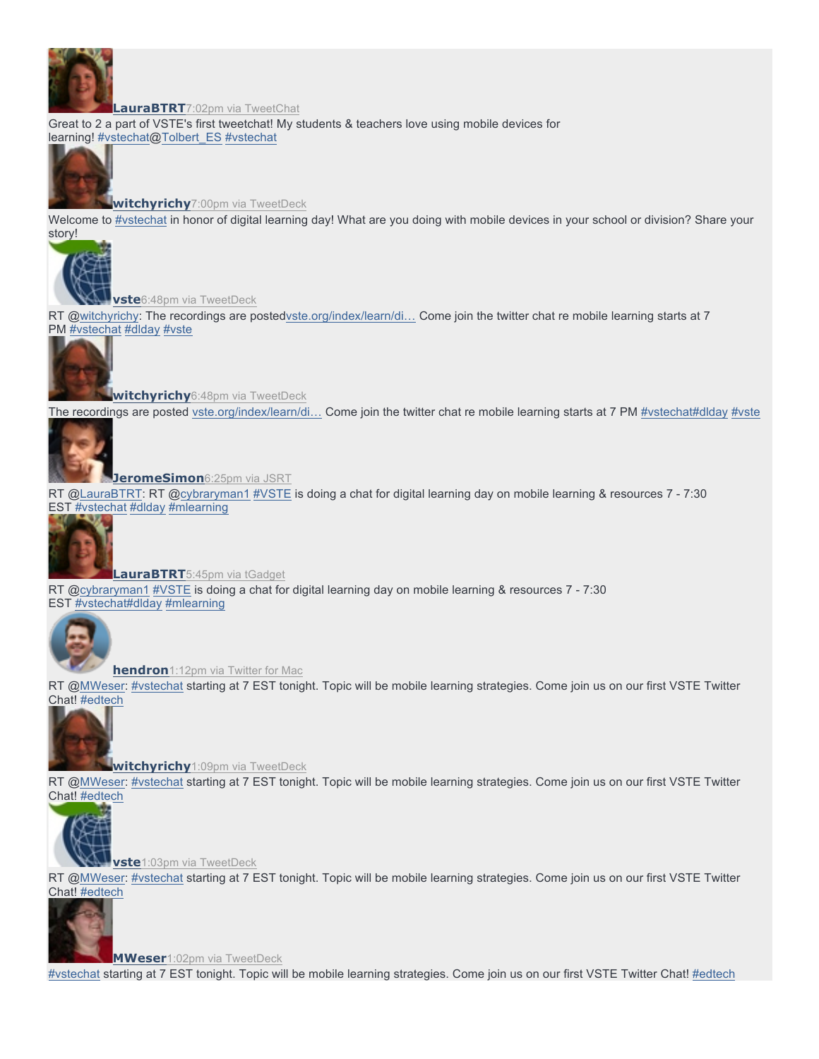

#### **LauraBTRT**7:02pm via TweetChat

Great to 2 a part of VSTE's first tweetchat! My students & teachers love using mobile devices for learning! #vstechat@Tolbert\_ES #vstechat



**witchyrichy**7:00pm via TweetDeck

Welcome to #vstechat in honor of digital learning day! What are you doing with mobile devices in your school or division? Share your story!



**vste**6:48pm via TweetDeck

RT @witchyrichy: The recordings are postedvste.org/index/learn/di… Come join the twitter chat re mobile learning starts at 7 PM #vstechat #dlday #vste



**witchyrichy**6:48pm via TweetDeck The recordings are posted vste.org/index/learn/di... Come join the twitter chat re mobile learning starts at 7 PM #vstechat#dlday #vste

**JeromeSimon**6:25pm via JSRT

RT @LauraBTRT: RT @cybraryman1 #VSTE is doing a chat for digital learning day on mobile learning & resources 7 - 7:30 EST #vstechat #dlday #mlearning



**LauraBTRT**5:45pm via tGadget RT @cybraryman1 #VSTE is doing a chat for digital learning day on mobile learning & resources 7 - 7:30 EST #vstechat#dlday #mlearning



**hendron**1:12pm via Twitter for Mac

RT @MWeser: #vstechat starting at 7 EST tonight. Topic will be mobile learning strategies. Come join us on our first VSTE Twitter Chat! #edtech

**witchyrichy**1:09pm via TweetDeck

RT @MWeser: #vstechat starting at 7 EST tonight. Topic will be mobile learning strategies. Come join us on our first VSTE Twitter Chat! #edtech



**vste**1:03pm via TweetDeck

RT @MWeser: #vstechat starting at 7 EST tonight. Topic will be mobile learning strategies. Come join us on our first VSTE Twitter Chat! #edtech



**MWeser**1:02pm via TweetDeck

#vstechat starting at 7 EST tonight. Topic will be mobile learning strategies. Come join us on our first VSTE Twitter Chat! #edtech